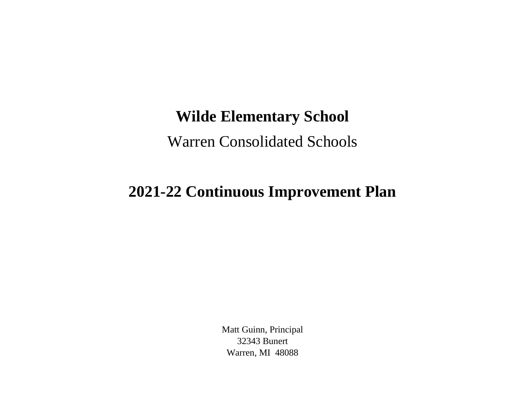## **Wilde Elementary School**

Warren Consolidated Schools

## **2021-22 Continuous Improvement Plan**

Matt Guinn, Principal 32343 Bunert Warren, MI 48088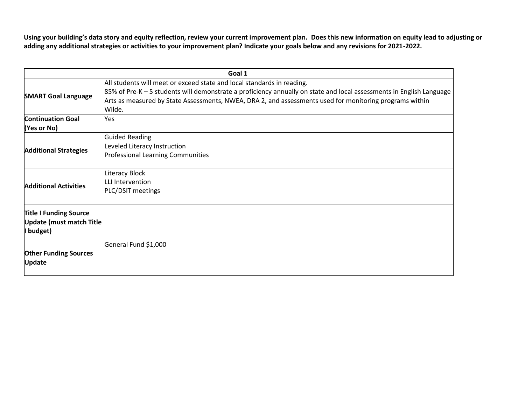**Using your building's data story and equity reflection, review your current improvement plan. Does this new information on equity lead to adjusting or adding any additional strategies or activities to your improvement plan? Indicate your goals below and any revisions for 2021-2022.**

| Goal 1                                                                        |                                                                                                                                                                                                                                                                                                                     |  |
|-------------------------------------------------------------------------------|---------------------------------------------------------------------------------------------------------------------------------------------------------------------------------------------------------------------------------------------------------------------------------------------------------------------|--|
| <b>SMART Goal Language</b>                                                    | All students will meet or exceed state and local standards in reading.<br>85% of Pre-K – 5 students will demonstrate a proficiency annually on state and local assessments in English Language<br>Arts as measured by State Assessments, NWEA, DRA 2, and assessments used for monitoring programs within<br>Wilde. |  |
| <b>Continuation Goal</b><br>(Yes or No)                                       | Yes                                                                                                                                                                                                                                                                                                                 |  |
| <b>Additional Strategies</b>                                                  | Guided Reading<br>Leveled Literacy Instruction<br><b>Professional Learning Communities</b>                                                                                                                                                                                                                          |  |
| <b>Additional Activities</b>                                                  | Literacy Block<br>LLI Intervention<br>PLC/DSIT meetings                                                                                                                                                                                                                                                             |  |
| <b>Title I Funding Source</b><br><b>Update (must match Title</b><br>I budget) |                                                                                                                                                                                                                                                                                                                     |  |
| <b>Other Funding Sources</b><br><b>Update</b>                                 | General Fund \$1,000                                                                                                                                                                                                                                                                                                |  |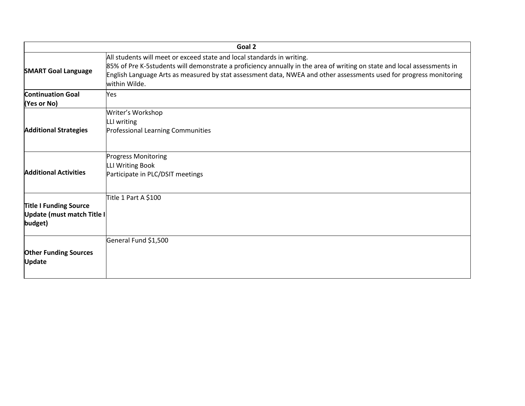|                                                                        | Goal 2                                                                                                                                                                                                                                                                                                                                   |
|------------------------------------------------------------------------|------------------------------------------------------------------------------------------------------------------------------------------------------------------------------------------------------------------------------------------------------------------------------------------------------------------------------------------|
| <b>SMART Goal Language</b>                                             | All students will meet or exceed state and local standards in writing.<br>85% of Pre K-5students will demonstrate a proficiency annually in the area of writing on state and local assessments in<br>English Language Arts as measured by stat assessment data, NWEA and other assessments used for progress monitoring<br>within Wilde. |
| <b>Continuation Goal</b><br>(Yes or No)                                | Yes                                                                                                                                                                                                                                                                                                                                      |
| <b>Additional Strategies</b>                                           | Writer's Workshop<br>LLI writing<br>Professional Learning Communities                                                                                                                                                                                                                                                                    |
| <b>Additional Activities</b>                                           | <b>Progress Monitoring</b><br>LLI Writing Book<br>Participate in PLC/DSIT meetings                                                                                                                                                                                                                                                       |
| <b>Title I Funding Source</b><br>Update (must match Title I<br>budget) | Title 1 Part A \$100                                                                                                                                                                                                                                                                                                                     |
| <b>Other Funding Sources</b><br><b>Update</b>                          | General Fund \$1,500                                                                                                                                                                                                                                                                                                                     |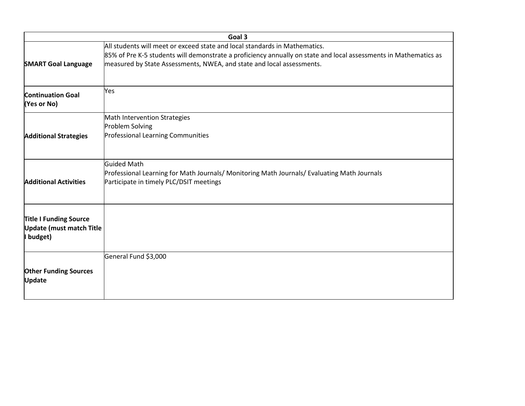|                                                                               | Goal 3                                                                                                                                                                                                                                                                  |
|-------------------------------------------------------------------------------|-------------------------------------------------------------------------------------------------------------------------------------------------------------------------------------------------------------------------------------------------------------------------|
| <b>SMART Goal Language</b>                                                    | All students will meet or exceed state and local standards in Mathematics.<br>85% of Pre K-5 students will demonstrate a proficiency annually on state and local assessments in Mathematics as<br>measured by State Assessments, NWEA, and state and local assessments. |
| <b>Continuation Goal</b><br>(Yes or No)                                       | Yes                                                                                                                                                                                                                                                                     |
| <b>Additional Strategies</b>                                                  | Math Intervention Strategies<br>Problem Solving<br>Professional Learning Communities                                                                                                                                                                                    |
| <b>Additional Activities</b>                                                  | <b>Guided Math</b><br>Professional Learning for Math Journals/ Monitoring Math Journals/ Evaluating Math Journals<br>Participate in timely PLC/DSIT meetings                                                                                                            |
| <b>Title I Funding Source</b><br><b>Update (must match Title</b><br>I budget) |                                                                                                                                                                                                                                                                         |
| <b>Other Funding Sources</b><br><b>Update</b>                                 | General Fund \$3,000                                                                                                                                                                                                                                                    |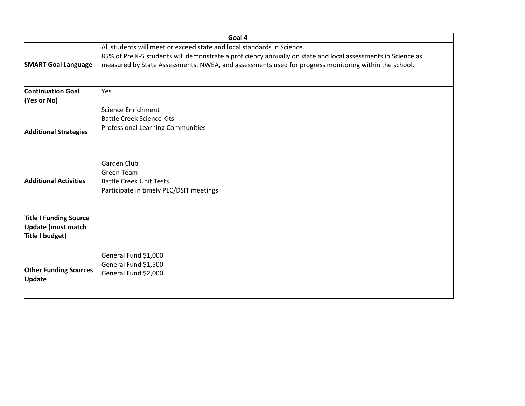| Goal 4                                        |                                                                                                              |  |
|-----------------------------------------------|--------------------------------------------------------------------------------------------------------------|--|
|                                               | All students will meet or exceed state and local standards in Science.                                       |  |
|                                               | 85% of Pre K-5 students will demonstrate a proficiency annually on state and local assessments in Science as |  |
| <b>SMART Goal Language</b>                    | measured by State Assessments, NWEA, and assessments used for progress monitoring within the school.         |  |
| <b>Continuation Goal</b><br>(Yes or No)       | Yes                                                                                                          |  |
|                                               | Science Enrichment                                                                                           |  |
|                                               | <b>Battle Creek Science Kits</b>                                                                             |  |
| <b>Additional Strategies</b>                  | Professional Learning Communities                                                                            |  |
|                                               | Garden Club                                                                                                  |  |
|                                               | <b>Green Team</b>                                                                                            |  |
| <b>Additional Activities</b>                  | <b>Battle Creek Unit Tests</b>                                                                               |  |
|                                               | Participate in timely PLC/DSIT meetings                                                                      |  |
| <b>Title I Funding Source</b>                 |                                                                                                              |  |
| Update (must match                            |                                                                                                              |  |
| Title I budget)                               |                                                                                                              |  |
|                                               | General Fund \$1,000                                                                                         |  |
|                                               | General Fund \$1,500                                                                                         |  |
| <b>Other Funding Sources</b><br><b>Update</b> | General Fund \$2,000                                                                                         |  |
|                                               |                                                                                                              |  |